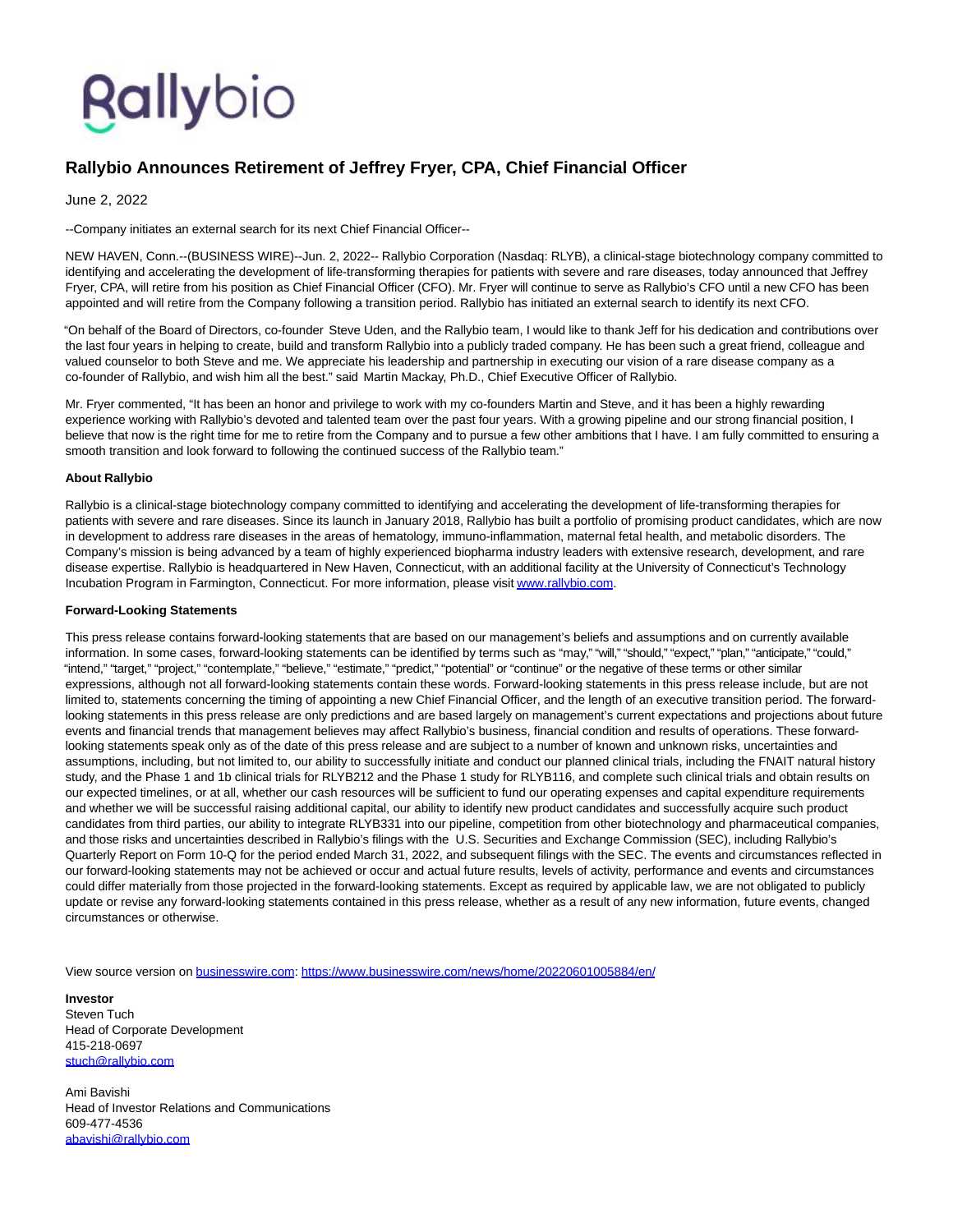## Rallybio

## **Rallybio Announces Retirement of Jeffrey Fryer, CPA, Chief Financial Officer**

June 2, 2022

--Company initiates an external search for its next Chief Financial Officer--

NEW HAVEN, Conn.--(BUSINESS WIRE)--Jun. 2, 2022-- Rallybio Corporation (Nasdaq: RLYB), a clinical-stage biotechnology company committed to identifying and accelerating the development of life-transforming therapies for patients with severe and rare diseases, today announced that Jeffrey Fryer, CPA, will retire from his position as Chief Financial Officer (CFO). Mr. Fryer will continue to serve as Rallybio's CFO until a new CFO has been appointed and will retire from the Company following a transition period. Rallybio has initiated an external search to identify its next CFO.

"On behalf of the Board of Directors, co-founder Steve Uden, and the Rallybio team, I would like to thank Jeff for his dedication and contributions over the last four years in helping to create, build and transform Rallybio into a publicly traded company. He has been such a great friend, colleague and valued counselor to both Steve and me. We appreciate his leadership and partnership in executing our vision of a rare disease company as a co-founder of Rallybio, and wish him all the best." said Martin Mackay, Ph.D., Chief Executive Officer of Rallybio.

Mr. Fryer commented, "It has been an honor and privilege to work with my co-founders Martin and Steve, and it has been a highly rewarding experience working with Rallybio's devoted and talented team over the past four years. With a growing pipeline and our strong financial position, I believe that now is the right time for me to retire from the Company and to pursue a few other ambitions that I have. I am fully committed to ensuring a smooth transition and look forward to following the continued success of the Rallybio team."

## **About Rallybio**

Rallybio is a clinical-stage biotechnology company committed to identifying and accelerating the development of life-transforming therapies for patients with severe and rare diseases. Since its launch in January 2018, Rallybio has built a portfolio of promising product candidates, which are now in development to address rare diseases in the areas of hematology, immuno-inflammation, maternal fetal health, and metabolic disorders. The Company's mission is being advanced by a team of highly experienced biopharma industry leaders with extensive research, development, and rare disease expertise. Rallybio is headquartered in New Haven, Connecticut, with an additional facility at the University of Connecticut's Technology Incubation Program in Farmington, Connecticut. For more information, please visi[t www.rallybio.com.](https://cts.businesswire.com/ct/CT?id=smartlink&url=http%3A%2F%2Fwww.rallybio.com&esheet=52736741&newsitemid=20220601005884&lan=en-US&anchor=www.rallybio.com&index=1&md5=603cb097197076bb61ceece480c07fef)

## **Forward-Looking Statements**

This press release contains forward-looking statements that are based on our management's beliefs and assumptions and on currently available information. In some cases, forward-looking statements can be identified by terms such as "may," "will," "should," "expect," "plan," "anticipate," "could," "intend," "target," "project," "contemplate," "believe," "estimate," "predict," "potential" or "continue" or the negative of these terms or other similar expressions, although not all forward-looking statements contain these words. Forward-looking statements in this press release include, but are not limited to, statements concerning the timing of appointing a new Chief Financial Officer, and the length of an executive transition period. The forwardlooking statements in this press release are only predictions and are based largely on management's current expectations and projections about future events and financial trends that management believes may affect Rallybio's business, financial condition and results of operations. These forwardlooking statements speak only as of the date of this press release and are subject to a number of known and unknown risks, uncertainties and assumptions, including, but not limited to, our ability to successfully initiate and conduct our planned clinical trials, including the FNAIT natural history study, and the Phase 1 and 1b clinical trials for RLYB212 and the Phase 1 study for RLYB116, and complete such clinical trials and obtain results on our expected timelines, or at all, whether our cash resources will be sufficient to fund our operating expenses and capital expenditure requirements and whether we will be successful raising additional capital, our ability to identify new product candidates and successfully acquire such product candidates from third parties, our ability to integrate RLYB331 into our pipeline, competition from other biotechnology and pharmaceutical companies, and those risks and uncertainties described in Rallybio's filings with the U.S. Securities and Exchange Commission (SEC), including Rallybio's Quarterly Report on Form 10-Q for the period ended March 31, 2022, and subsequent filings with the SEC. The events and circumstances reflected in our forward-looking statements may not be achieved or occur and actual future results, levels of activity, performance and events and circumstances could differ materially from those projected in the forward-looking statements. Except as required by applicable law, we are not obligated to publicly update or revise any forward-looking statements contained in this press release, whether as a result of any new information, future events, changed circumstances or otherwise.

View source version on [businesswire.com:](http://businesswire.com/)<https://www.businesswire.com/news/home/20220601005884/en/>

**Investor** Steven Tuch Head of Corporate Development 415-218-0697 [stuch@rallybio.com](mailto:stuch@rallybio.com)

Ami Bavishi Head of Investor Relations and Communications 609-477-4536 [abavishi@rallybio.com](mailto:abavishi@rallybio.com)